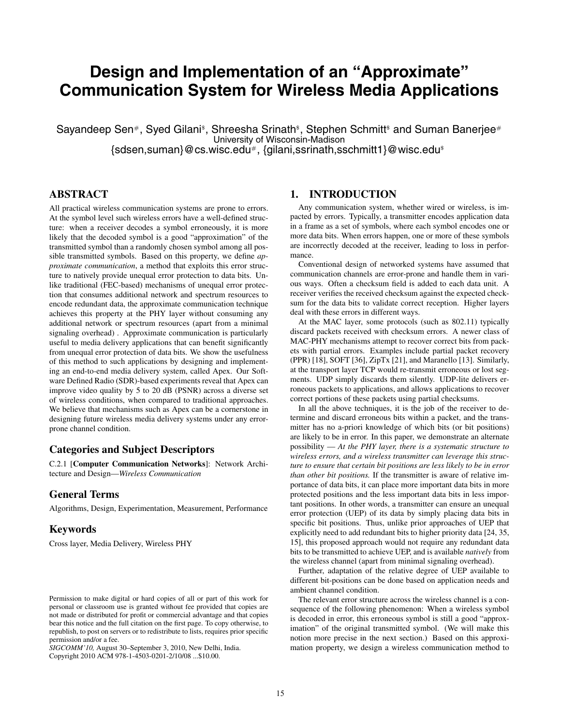# **Design and Implementation of an "Approximate" Communication System for Wireless Media Applications**

Sayandeep Sen#, Syed Gilani<sup>§</sup>, Shreesha Srinath<sup>§</sup>, Stephen Schmitt<sup>§</sup> and Suman Banerjee# University of Wisconsin-Madison {sdsen,suman}@cs.wisc.edu#, {gilani,ssrinath,sschmitt1}@wisc.edu\$

# **ABSTRACT**

All practical wireless communication systems are prone to errors. At the symbol level such wireless errors have a well-defined structure: when a receiver decodes a symbol erroneously, it is more likely that the decoded symbol is a good "approximation" of the transmitted symbol than a randomly chosen symbol among all possible transmitted symbols. Based on this property, we define *approximate communication*, a method that exploits this error structure to natively provide unequal error protection to data bits. Unlike traditional (FEC-based) mechanisms of unequal error protection that consumes additional network and spectrum resources to encode redundant data, the approximate communication technique achieves this property at the PHY layer without consuming any additional network or spectrum resources (apart from a minimal signaling overhead) . Approximate communication is particularly useful to media delivery applications that can benefit significantly from unequal error protection of data bits. We show the usefulness of this method to such applications by designing and implementing an end-to-end media delivery system, called Apex. Our Software Defined Radio (SDR)-based experiments reveal that Apex can improve video quality by 5 to 20 dB (PSNR) across a diverse set of wireless conditions, when compared to traditional approaches. We believe that mechanisms such as Apex can be a cornerstone in designing future wireless media delivery systems under any errorprone channel condition.

### **Categories and Subject Descriptors**

C.2.1 [**Computer Communication Networks**]: Network Architecture and Design—*Wireless Communication*

## **General Terms**

Algorithms, Design, Experimentation, Measurement, Performance

### **Keywords**

Cross layer, Media Delivery, Wireless PHY

Copyright 2010 ACM 978-1-4503-0201-2/10/08 ...\$10.00.

## **1. INTRODUCTION**

Any communication system, whether wired or wireless, is impacted by errors. Typically, a transmitter encodes application data in a frame as a set of symbols, where each symbol encodes one or more data bits. When errors happen, one or more of these symbols are incorrectly decoded at the receiver, leading to loss in performance.

Conventional design of networked systems have assumed that communication channels are error-prone and handle them in various ways. Often a checksum field is added to each data unit. A receiver verifies the received checksum against the expected checksum for the data bits to validate correct reception. Higher layers deal with these errors in different ways.

At the MAC layer, some protocols (such as 802.11) typically discard packets received with checksum errors. A newer class of MAC-PHY mechanisms attempt to recover correct bits from packets with partial errors. Examples include partial packet recovery (PPR) [18], SOFT [36], ZipTx [21], and Maranello [13]. Similarly, at the transport layer TCP would re-transmit erroneous or lost segments. UDP simply discards them silently. UDP-lite delivers erroneous packets to applications, and allows applications to recover correct portions of these packets using partial checksums.

In all the above techniques, it is the job of the receiver to determine and discard erroneous bits within a packet, and the transmitter has no a-priori knowledge of which bits (or bit positions) are likely to be in error. In this paper, we demonstrate an alternate possibility — *At the PHY layer, there is a systematic structure to wireless errors, and a wireless transmitter can leverage this structure to ensure that certain bit positions are less likely to be in error than other bit positions.* If the transmitter is aware of relative importance of data bits, it can place more important data bits in more protected positions and the less important data bits in less important positions. In other words, a transmitter can ensure an unequal error protection (UEP) of its data by simply placing data bits in specific bit positions. Thus, unlike prior approaches of UEP that explicitly need to add redundant bits to higher priority data [24, 35, 15], this proposed approach would not require any redundant data bits to be transmitted to achieve UEP, and is available *natively* from the wireless channel (apart from minimal signaling overhead).

Further, adaptation of the relative degree of UEP available to different bit-positions can be done based on application needs and ambient channel condition.

The relevant error structure across the wireless channel is a consequence of the following phenomenon: When a wireless symbol is decoded in error, this erroneous symbol is still a good "approximation" of the original transmitted symbol. (We will make this notion more precise in the next section.) Based on this approximation property, we design a wireless communication method to

Permission to make digital or hard copies of all or part of this work for personal or classroom use is granted without fee provided that copies are not made or distributed for profit or commercial advantage and that copies bear this notice and the full citation on the first page. To copy otherwise, to republish, to post on servers or to redistribute to lists, requires prior specific permission and/or a fee.

*SIGCOMM'10,* August 30–September 3, 2010, New Delhi, India.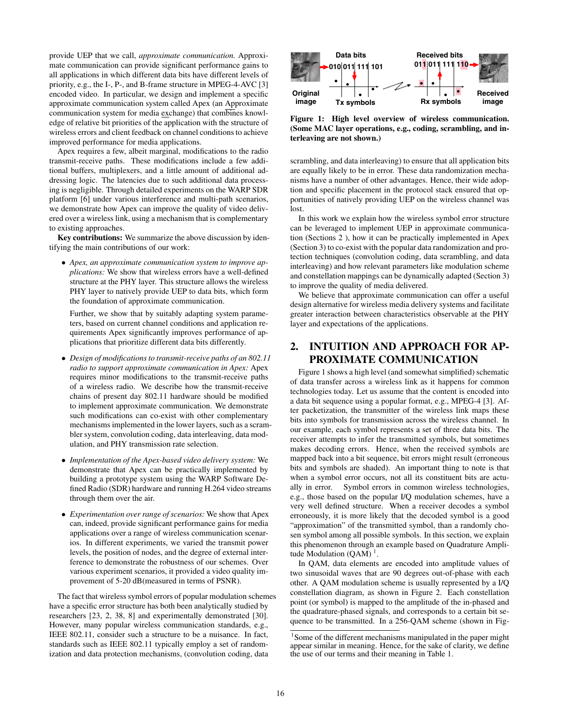provide UEP that we call, *approximate communication.* Approximate communication can provide significant performance gains to all applications in which different data bits have different levels of priority, e.g., the I-, P-, and B-frame structure in MPEG-4-AVC [3] encoded video. In particular, we design and implement a specific approximate communication system called Apex (an Approximate communication system for media exchange) that combines knowledge of relative bit priorities of the application with the structure of wireless errors and client feedback on channel conditions to achieve improved performance for media applications.

Apex requires a few, albeit marginal, modifications to the radio transmit-receive paths. These modifications include a few additional buffers, multiplexers, and a little amount of additional addressing logic. The latencies due to such additional data processing is negligible. Through detailed experiments on the WARP SDR platform [6] under various interference and multi-path scenarios, we demonstrate how Apex can improve the quality of video delivered over a wireless link, using a mechanism that is complementary to existing approaches.

**Key contributions:** We summarize the above discussion by identifying the main contributions of our work:

*• Apex, an approximate communication system to improve applications:* We show that wireless errors have a well-defined structure at the PHY layer. This structure allows the wireless PHY layer to natively provide UEP to data bits, which form the foundation of approximate communication.

Further, we show that by suitably adapting system parameters, based on current channel conditions and application requirements Apex significantly improves performance of applications that prioritize different data bits differently.

- *• Design of modifications to transmit-receive paths of an 802.11 radio to support approximate communication in Apex:* Apex requires minor modifications to the transmit-receive paths of a wireless radio. We describe how the transmit-receive chains of present day 802.11 hardware should be modified to implement approximate communication. We demonstrate such modifications can co-exist with other complementary mechanisms implemented in the lower layers, such as a scrambler system, convolution coding, data interleaving, data modulation, and PHY transmission rate selection.
- *• Implementation of the Apex-based video delivery system:* We demonstrate that Apex can be practically implemented by building a prototype system using the WARP Software Defined Radio (SDR) hardware and running H.264 video streams through them over the air.
- *• Experimentation over range of scenarios:* We show that Apex can, indeed, provide significant performance gains for media applications over a range of wireless communication scenarios. In different experiments, we varied the transmit power levels, the position of nodes, and the degree of external interference to demonstrate the robustness of our schemes. Over various experiment scenarios, it provided a video quality improvement of 5-20 dB(measured in terms of PSNR).

The fact that wireless symbol errors of popular modulation schemes have a specific error structure has both been analytically studied by researchers [23, 2, 38, 8] and experimentally demonstrated [30]. However, many popular wireless communication standards, e.g., IEEE 802.11, consider such a structure to be a nuisance. In fact, standards such as IEEE 802.11 typically employ a set of randomization and data protection mechanisms, (convolution coding, data



**Figure 1: High level overview of wireless communication. (Some MAC layer operations, e.g., coding, scrambling, and interleaving are not shown.)**

scrambling, and data interleaving) to ensure that all application bits are equally likely to be in error. These data randomization mechanisms have a number of other advantages. Hence, their wide adoption and specific placement in the protocol stack ensured that opportunities of natively providing UEP on the wireless channel was lost.

In this work we explain how the wireless symbol error structure can be leveraged to implement UEP in approximate communication (Sections 2 ), how it can be practically implemented in Apex (Section 3) to co-exist with the popular data randomization and protection techniques (convolution coding, data scrambling, and data interleaving) and how relevant parameters like modulation scheme and constellation mappings can be dynamically adapted (Section 3) to improve the quality of media delivered.

We believe that approximate communication can offer a useful design alternative for wireless media delivery systems and facilitate greater interaction between characteristics observable at the PHY layer and expectations of the applications.

# **2. INTUITION AND APPROACH FOR AP-PROXIMATE COMMUNICATION**

Figure 1 shows a high level (and somewhat simplified) schematic of data transfer across a wireless link as it happens for common technologies today. Let us assume that the content is encoded into a data bit sequence using a popular format, e.g., MPEG-4 [3]. After packetization, the transmitter of the wireless link maps these bits into symbols for transmission across the wireless channel. In our example, each symbol represents a set of three data bits. The receiver attempts to infer the transmitted symbols, but sometimes makes decoding errors. Hence, when the received symbols are mapped back into a bit sequence, bit errors might result (erroneous bits and symbols are shaded). An important thing to note is that when a symbol error occurs, not all its constituent bits are actually in error. Symbol errors in common wireless technologies, e.g., those based on the popular I/Q modulation schemes, have a very well defined structure. When a receiver decodes a symbol erroneously, it is more likely that the decoded symbol is a good "approximation" of the transmitted symbol, than a randomly chosen symbol among all possible symbols. In this section, we explain this phenomenon through an example based on Quadrature Amplitude Modulation  $(QAM)^1$ .

In QAM, data elements are encoded into amplitude values of two sinusoidal waves that are 90 degrees out-of-phase with each other. A QAM modulation scheme is usually represented by a I/Q constellation diagram, as shown in Figure 2. Each constellation point (or symbol) is mapped to the amplitude of the in-phased and the quadrature-phased signals, and corresponds to a certain bit sequence to be transmitted. In a 256-QAM scheme (shown in Fig-

<sup>&</sup>lt;sup>1</sup>Some of the different mechanisms manipulated in the paper might appear similar in meaning. Hence, for the sake of clarity, we define the use of our terms and their meaning in Table 1.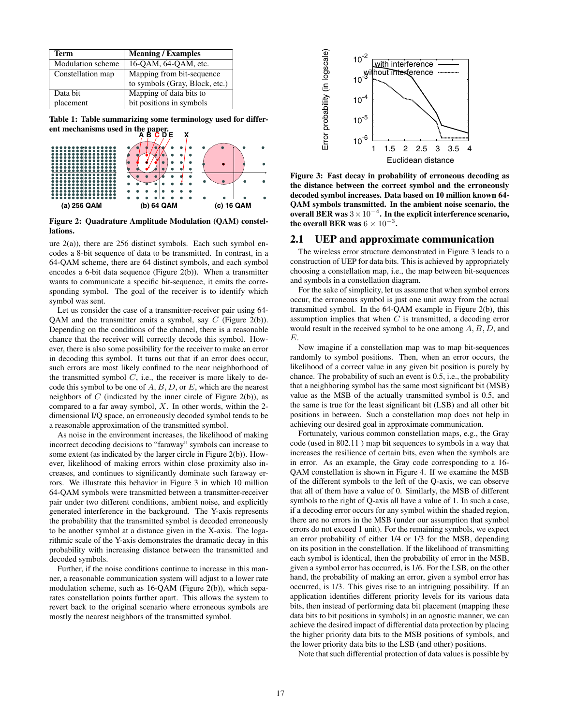| Term              | <b>Meaning / Examples</b>      |
|-------------------|--------------------------------|
| Modulation scheme | 16-QAM, 64-QAM, etc.           |
| Constellation map | Mapping from bit-sequence      |
|                   | to symbols (Gray, Block, etc.) |
| Data bit          | Mapping of data bits to        |
| placement         | bit positions in symbols       |

**Table 1: Table summarizing some terminology used for differ-**



**Figure 2: Quadrature Amplitude Modulation (QAM) constellations.**

ure  $2(a)$ ), there are  $256$  distinct symbols. Each such symbol encodes a 8-bit sequence of data to be transmitted. In contrast, in a 64-QAM scheme, there are 64 distinct symbols, and each symbol encodes a 6-bit data sequence (Figure 2(b)). When a transmitter wants to communicate a specific bit-sequence, it emits the corresponding symbol. The goal of the receiver is to identify which symbol was sent.

Let us consider the case of a transmitter-receiver pair using 64- QAM and the transmitter emits a symbol, say *C* (Figure 2(b)). Depending on the conditions of the channel, there is a reasonable chance that the receiver will correctly decode this symbol. However, there is also some possibility for the receiver to make an error in decoding this symbol. It turns out that if an error does occur, such errors are most likely confined to the near neighborhood of the transmitted symbol *C*, i.e., the receiver is more likely to decode this symbol to be one of *A, B, D*, or *E*, which are the nearest neighbors of *C* (indicated by the inner circle of Figure 2(b)), as compared to a far away symbol, *X*. In other words, within the 2 dimensional I/Q space, an erroneously decoded symbol tends to be a reasonable approximation of the transmitted symbol.

As noise in the environment increases, the likelihood of making incorrect decoding decisions to "faraway" symbols can increase to some extent (as indicated by the larger circle in Figure 2(b)). However, likelihood of making errors within close proximity also increases, and continues to significantly dominate such faraway errors. We illustrate this behavior in Figure 3 in which 10 million 64-QAM symbols were transmitted between a transmitter-receiver pair under two different conditions, ambient noise, and explicitly generated interference in the background. The Y-axis represents the probability that the transmitted symbol is decoded erroneously to be another symbol at a distance given in the X-axis. The logarithmic scale of the Y-axis demonstrates the dramatic decay in this probability with increasing distance between the transmitted and decoded symbols.

Further, if the noise conditions continue to increase in this manner, a reasonable communication system will adjust to a lower rate modulation scheme, such as 16-QAM (Figure 2(b)), which separates constellation points further apart. This allows the system to revert back to the original scenario where erroneous symbols are mostly the nearest neighbors of the transmitted symbol.



Error probability (in logscale)

Error probability (in logscale)

**Figure 3: Fast decay in probability of erroneous decoding as the distance between the correct symbol and the erroneously decoded symbol increases. Data based on 10 million known 64- QAM symbols transmitted. In the ambient noise scenario, the overall BER was** <sup>3</sup>*×*10*<sup>−</sup>*<sup>4</sup>**. In the explicit interference scenario, the overall BER was**  $6 \times 10^{-3}$ **.** 

#### **2.1 UEP and approximate communication**

The wireless error structure demonstrated in Figure 3 leads to a construction of UEP for data bits. This is achieved by appropriately choosing a constellation map, i.e., the map between bit-sequences and symbols in a constellation diagram.

For the sake of simplicity, let us assume that when symbol errors occur, the erroneous symbol is just one unit away from the actual transmitted symbol. In the 64-QAM example in Figure 2(b), this assumption implies that when *C* is transmitted, a decoding error would result in the received symbol to be one among *A, B, D*, and *E*.

Now imagine if a constellation map was to map bit-sequences randomly to symbol positions. Then, when an error occurs, the likelihood of a correct value in any given bit position is purely by chance. The probability of such an event is 0.5, i.e., the probability that a neighboring symbol has the same most significant bit (MSB) value as the MSB of the actually transmitted symbol is 0.5, and the same is true for the least significant bit (LSB) and all other bit positions in between. Such a constellation map does not help in achieving our desired goal in approximate communication.

Fortunately, various common constellation maps, e.g., the Gray code (used in 802.11 ) map bit sequences to symbols in a way that increases the resilience of certain bits, even when the symbols are in error. As an example, the Gray code corresponding to a 16- QAM constellation is shown in Figure 4. If we examine the MSB of the different symbols to the left of the Q-axis, we can observe that all of them have a value of 0. Similarly, the MSB of different symbols to the right of Q-axis all have a value of 1. In such a case, if a decoding error occurs for any symbol within the shaded region, there are no errors in the MSB (under our assumption that symbol errors do not exceed 1 unit). For the remaining symbols, we expect an error probability of either 1/4 or 1/3 for the MSB, depending on its position in the constellation. If the likelihood of transmitting each symbol is identical, then the probability of error in the MSB, given a symbol error has occurred, is 1/6. For the LSB, on the other hand, the probability of making an error, given a symbol error has occurred, is 1/3. This gives rise to an intriguing possibility. If an application identifies different priority levels for its various data bits, then instead of performing data bit placement (mapping these data bits to bit positions in symbols) in an agnostic manner, we can achieve the desired impact of differential data protection by placing the higher priority data bits to the MSB positions of symbols, and the lower priority data bits to the LSB (and other) positions.

Note that such differential protection of data values is possible by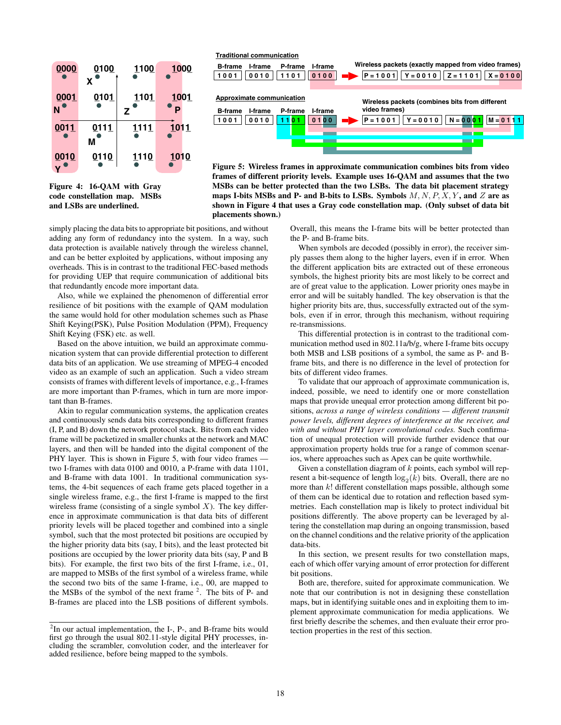

**Figure 4: 16-QAM with Gray code constellation map. MSBs and LSBs are underlined.**



**Figure 5: Wireless frames in approximate communication combines bits from video frames of different priority levels. Example uses 16-QAM and assumes that the two MSBs can be better protected than the two LSBs. The data bit placement strategy maps I-bits MSBs and P- and B-bits to LSBs. Symbols** *M, N, P, X, Y* **, and** *Z* **are as shown in Figure 4 that uses a Gray code constellation map. (Only subset of data bit placements shown.)**

simply placing the data bits to appropriate bit positions, and without adding any form of redundancy into the system. In a way, such data protection is available natively through the wireless channel, and can be better exploited by applications, without imposing any overheads. This is in contrast to the traditional FEC-based methods for providing UEP that require communication of additional bits that redundantly encode more important data.

Also, while we explained the phenomenon of differential error resilience of bit positions with the example of QAM modulation the same would hold for other modulation schemes such as Phase Shift Keying(PSK), Pulse Position Modulation (PPM), Frequency Shift Keying (FSK) etc. as well.

Based on the above intuition, we build an approximate communication system that can provide differential protection to different data bits of an application. We use streaming of MPEG-4 encoded video as an example of such an application. Such a video stream consists of frames with different levels of importance, e.g., I-frames are more important than P-frames, which in turn are more important than B-frames.

Akin to regular communication systems, the application creates and continuously sends data bits corresponding to different frames (I, P, and B) down the network protocol stack. Bits from each video frame will be packetized in smaller chunks at the network and MAC layers, and then will be handed into the digital component of the PHY layer. This is shown in Figure 5, with four video frames two I-frames with data 0100 and 0010, a P-frame with data 1101, and B-frame with data 1001. In traditional communication systems, the 4-bit sequences of each frame gets placed together in a single wireless frame, e.g., the first I-frame is mapped to the first wireless frame (consisting of a single symbol  $X$ ). The key difference in approximate communication is that data bits of different priority levels will be placed together and combined into a single symbol, such that the most protected bit positions are occupied by the higher priority data bits (say, I bits), and the least protected bit positions are occupied by the lower priority data bits (say, P and B bits). For example, the first two bits of the first I-frame, i.e., 01, are mapped to MSBs of the first symbol of a wireless frame, while the second two bits of the same I-frame, i.e., 00, are mapped to the MSBs of the symbol of the next frame  $2$ . The bits of P- and B-frames are placed into the LSB positions of different symbols.

 $2$ In our actual implementation, the I-, P-, and B-frame bits would first go through the usual 802.11-style digital PHY processes, including the scrambler, convolution coder, and the interleaver for added resilience, before being mapped to the symbols.

Overall, this means the I-frame bits will be better protected than the P- and B-frame bits.

When symbols are decoded (possibly in error), the receiver simply passes them along to the higher layers, even if in error. When the different application bits are extracted out of these erroneous symbols, the highest priority bits are most likely to be correct and are of great value to the application. Lower priority ones maybe in error and will be suitably handled. The key observation is that the higher priority bits are, thus, successfully extracted out of the symbols, even if in error, through this mechanism, without requiring re-transmissions.

This differential protection is in contrast to the traditional communication method used in 802.11a/b/g, where I-frame bits occupy both MSB and LSB positions of a symbol, the same as P- and Bframe bits, and there is no difference in the level of protection for bits of different video frames.

To validate that our approach of approximate communication is, indeed, possible, we need to identify one or more constellation maps that provide unequal error protection among different bit positions, *across a range of wireless conditions — different transmit power levels, different degrees of interference at the receiver, and with and without PHY layer convolutional codes.* Such confirmation of unequal protection will provide further evidence that our approximation property holds true for a range of common scenarios, where approaches such as Apex can be quite worthwhile.

Given a constellation diagram of *k* points, each symbol will represent a bit-sequence of length  $log_2(k)$  bits. Overall, there are no more than *k*! different constellation maps possible, although some of them can be identical due to rotation and reflection based symmetries. Each constellation map is likely to protect individual bit positions differently. The above property can be leveraged by altering the constellation map during an ongoing transmission, based on the channel conditions and the relative priority of the application data-bits.

In this section, we present results for two constellation maps, each of which offer varying amount of error protection for different bit positions.

Both are, therefore, suited for approximate communication. We note that our contribution is not in designing these constellation maps, but in identifying suitable ones and in exploiting them to implement approximate communication for media applications. We first briefly describe the schemes, and then evaluate their error protection properties in the rest of this section.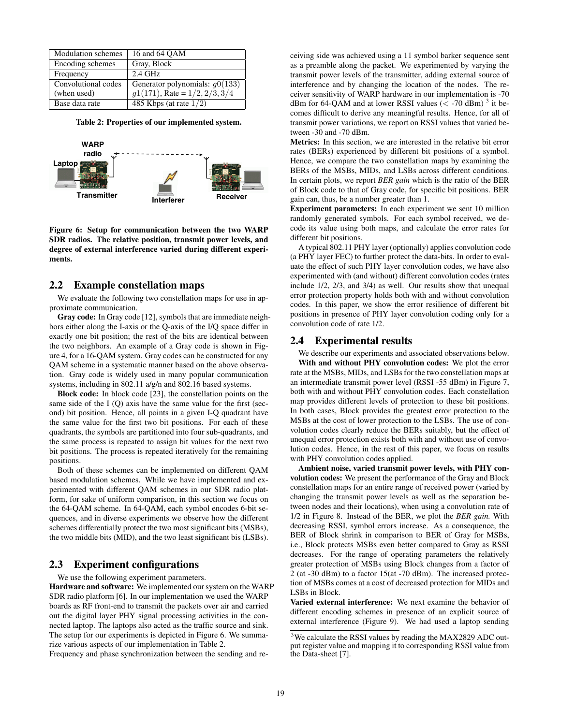| 16 and 64 OAM                            |
|------------------------------------------|
| Gray, Block                              |
| $2.4$ GHz                                |
| Generator polynomials: $g0(133)$         |
| $g1(171)$ , Rate = $1/2$ , $2/3$ , $3/4$ |
| $\overline{485}$ Kbps (at rate $1/2$ )   |
|                                          |

**Table 2: Properties of our implemented system.**



**Figure 6: Setup for communication between the two WARP SDR radios. The relative position, transmit power levels, and degree of external interference varied during different experiments.**

#### **2.2 Example constellation maps**

We evaluate the following two constellation maps for use in approximate communication.

**Gray code:** In Gray code [12], symbols that are immediate neighbors either along the I-axis or the Q-axis of the I/Q space differ in exactly one bit position; the rest of the bits are identical between the two neighbors. An example of a Gray code is shown in Figure 4, for a 16-QAM system. Gray codes can be constructed for any QAM scheme in a systematic manner based on the above observation. Gray code is widely used in many popular communication systems, including in 802.11 a/g/n and 802.16 based systems.

**Block code:** In block code [23], the constellation points on the same side of the  $I(Q)$  axis have the same value for the first (second) bit position. Hence, all points in a given I-Q quadrant have the same value for the first two bit positions. For each of these quadrants, the symbols are partitioned into four sub-quadrants, and the same process is repeated to assign bit values for the next two bit positions. The process is repeated iteratively for the remaining positions.

Both of these schemes can be implemented on different QAM based modulation schemes. While we have implemented and experimented with different QAM schemes in our SDR radio platform, for sake of uniform comparison, in this section we focus on the 64-QAM scheme. In 64-QAM, each symbol encodes 6-bit sequences, and in diverse experiments we observe how the different schemes differentially protect the two most significant bits (MSBs), the two middle bits (MID), and the two least significant bis (LSBs).

#### **2.3 Experiment configurations**

We use the following experiment parameters.

**Hardware and software:** We implemented our system on the WARP SDR radio platform [6]. In our implementation we used the WARP boards as RF front-end to transmit the packets over air and carried out the digital layer PHY signal processing activities in the connected laptop. The laptops also acted as the traffic source and sink. The setup for our experiments is depicted in Figure 6. We summarize various aspects of our implementation in Table 2.

Frequency and phase synchronization between the sending and re-

ceiving side was achieved using a 11 symbol barker sequence sent as a preamble along the packet. We experimented by varying the transmit power levels of the transmitter, adding external source of interference and by changing the location of the nodes. The receiver sensitivity of WARP hardware in our implementation is -70 dBm for 64-QAM and at lower RSSI values  $(<$  -70 dBm)<sup>3</sup> it becomes difficult to derive any meaningful results. Hence, for all of transmit power variations, we report on RSSI values that varied between -30 and -70 dBm.

**Metrics:** In this section, we are interested in the relative bit error rates (BERs) experienced by different bit positions of a symbol. Hence, we compare the two constellation maps by examining the BERs of the MSBs, MIDs, and LSBs across different conditions. In certain plots, we report *BER gain* which is the ratio of the BER of Block code to that of Gray code, for specific bit positions. BER gain can, thus, be a number greater than 1.

**Experiment parameters:** In each experiment we sent 10 million randomly generated symbols. For each symbol received, we decode its value using both maps, and calculate the error rates for different bit positions.

A typical 802.11 PHY layer (optionally) applies convolution code (a PHY layer FEC) to further protect the data-bits. In order to evaluate the effect of such PHY layer convolution codes, we have also experimented with (and without) different convolution codes (rates include 1/2, 2/3, and 3/4) as well. Our results show that unequal error protection property holds both with and without convolution codes. In this paper, we show the error resilience of different bit positions in presence of PHY layer convolution coding only for a convolution code of rate 1/2.

#### **2.4 Experimental results**

We describe our experiments and associated observations below. **With and without PHY convolution codes:** We plot the error rate at the MSBs, MIDs, and LSBs for the two constellation maps at an intermediate transmit power level (RSSI -55 dBm) in Figure 7, both with and without PHY convolution codes. Each constellation map provides different levels of protection to these bit positions. In both cases, Block provides the greatest error protection to the MSBs at the cost of lower protection to the LSBs. The use of convolution codes clearly reduce the BERs suitably, but the effect of unequal error protection exists both with and without use of convolution codes. Hence, in the rest of this paper, we focus on results with PHY convolution codes applied.

**Ambient noise, varied transmit power levels, with PHY convolution codes:** We present the performance of the Gray and Block constellation maps for an entire range of received power (varied by changing the transmit power levels as well as the separation between nodes and their locations), when using a convolution rate of 1/2 in Figure 8. Instead of the BER, we plot the *BER gain.* With decreasing RSSI, symbol errors increase. As a consequence, the BER of Block shrink in comparison to BER of Gray for MSBs, i.e., Block protects MSBs even better compared to Gray as RSSI decreases. For the range of operating parameters the relatively greater protection of MSBs using Block changes from a factor of 2 (at -30 dBm) to a factor 15(at -70 dBm). The increased protection of MSBs comes at a cost of decreased protection for MIDs and LSBs in Block.

**Varied external interference:** We next examine the behavior of different encoding schemes in presence of an explicit source of external interference (Figure 9). We had used a laptop sending

 $3\text{We calculate the RSSI values by reading the MAX2829 ADC out-}$ put register value and mapping it to corresponding RSSI value from the Data-sheet [7].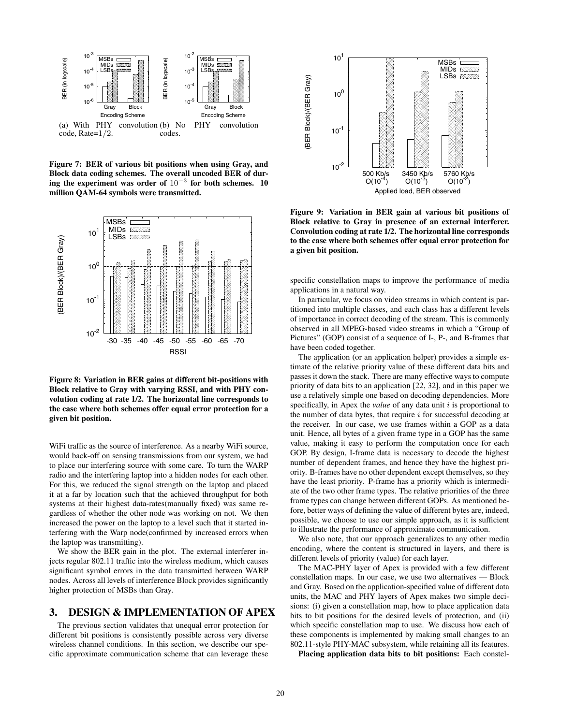

**Figure 7: BER of various bit positions when using Gray, and Block data coding schemes. The overall uncoded BER of during the experiment was order of** <sup>10</sup>*<sup>−</sup>*<sup>3</sup> **for both schemes. 10 million QAM-64 symbols were transmitted.**



**Figure 8: Variation in BER gains at different bit-positions with Block relative to Gray with varying RSSI, and with PHY convolution coding at rate 1/2. The horizontal line corresponds to the case where both schemes offer equal error protection for a given bit position.**

WiFi traffic as the source of interference. As a nearby WiFi source, would back-off on sensing transmissions from our system, we had to place our interfering source with some care. To turn the WARP radio and the interfering laptop into a hidden nodes for each other. For this, we reduced the signal strength on the laptop and placed it at a far by location such that the achieved throughput for both systems at their highest data-rates(manually fixed) was same regardless of whether the other node was working on not. We then increased the power on the laptop to a level such that it started interfering with the Warp node(confirmed by increased errors when the laptop was transmitting).

We show the BER gain in the plot. The external interferer injects regular 802.11 traffic into the wireless medium, which causes significant symbol errors in the data transmitted between WARP nodes. Across all levels of interference Block provides significantly higher protection of MSBs than Gray.

#### **3. DESIGN & IMPLEMENTATION OF APEX**

The previous section validates that unequal error protection for different bit positions is consistently possible across very diverse wireless channel conditions. In this section, we describe our specific approximate communication scheme that can leverage these



**Figure 9: Variation in BER gain at various bit positions of Block relative to Gray in presence of an external interferer. Convolution coding at rate 1/2. The horizontal line corresponds to the case where both schemes offer equal error protection for a given bit position.**

specific constellation maps to improve the performance of media applications in a natural way.

In particular, we focus on video streams in which content is partitioned into multiple classes, and each class has a different levels of importance in correct decoding of the stream. This is commonly observed in all MPEG-based video streams in which a "Group of Pictures" (GOP) consist of a sequence of I-, P-, and B-frames that have been coded together.

The application (or an application helper) provides a simple estimate of the relative priority value of these different data bits and passes it down the stack. There are many effective ways to compute priority of data bits to an application [22, 32], and in this paper we use a relatively simple one based on decoding dependencies. More specifically, in Apex the *value* of any data unit *i* is proportional to the number of data bytes, that require *i* for successful decoding at the receiver. In our case, we use frames within a GOP as a data unit. Hence, all bytes of a given frame type in a GOP has the same value, making it easy to perform the computation once for each GOP. By design, I-frame data is necessary to decode the highest number of dependent frames, and hence they have the highest priority. B-frames have no other dependent except themselves, so they have the least priority. P-frame has a priority which is intermediate of the two other frame types. The relative priorities of the three frame types can change between different GOPs. As mentioned before, better ways of defining the value of different bytes are, indeed, possible, we choose to use our simple approach, as it is sufficient to illustrate the performance of approximate communication.

We also note, that our approach generalizes to any other media encoding, where the content is structured in layers, and there is different levels of priority (value) for each layer.

The MAC-PHY layer of Apex is provided with a few different constellation maps. In our case, we use two alternatives — Block and Gray. Based on the application-specified value of different data units, the MAC and PHY layers of Apex makes two simple decisions: (i) given a constellation map, how to place application data bits to bit positions for the desired levels of protection, and (ii) which specific constellation map to use. We discuss how each of these components is implemented by making small changes to an 802.11-style PHY-MAC subsystem, while retaining all its features.

**Placing application data bits to bit positions:** Each constel-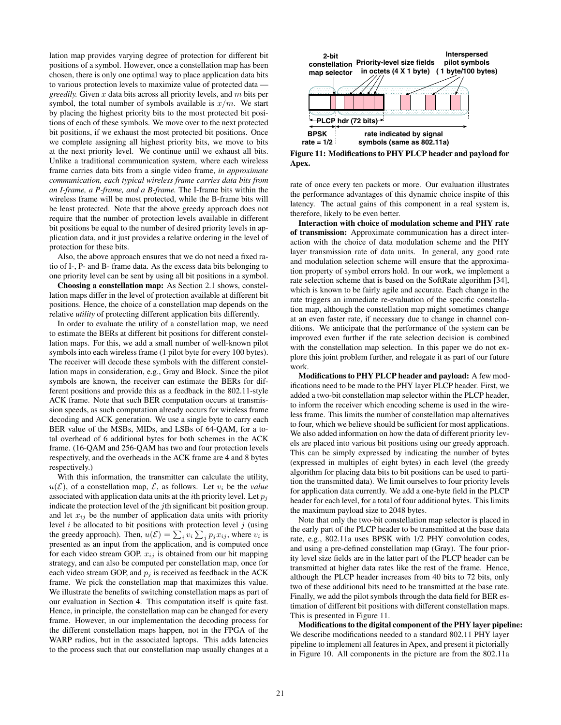lation map provides varying degree of protection for different bit positions of a symbol. However, once a constellation map has been chosen, there is only one optimal way to place application data bits to various protection levels to maximize value of protected data *greedily.* Given *x* data bits across all priority levels, and *m* bits per symbol, the total number of symbols available is *x/m*. We start by placing the highest priority bits to the most protected bit positions of each of these symbols. We move over to the next protected bit positions, if we exhaust the most protected bit positions. Once we complete assigning all highest priority bits, we move to bits at the next priority level. We continue until we exhaust all bits. Unlike a traditional communication system, where each wireless frame carries data bits from a single video frame, *in approximate communication, each typical wireless frame carries data bits from an I-frame, a P-frame, and a B-frame.* The I-frame bits within the wireless frame will be most protected, while the B-frame bits will be least protected. Note that the above greedy approach does not require that the number of protection levels available in different bit positions be equal to the number of desired priority levels in application data, and it just provides a relative ordering in the level of protection for these bits.

Also, the above approach ensures that we do not need a fixed ratio of I-, P- and B- frame data. As the excess data bits belonging to one priority level can be sent by using all bit positions in a symbol.

**Choosing a constellation map:** As Section 2.1 shows, constellation maps differ in the level of protection available at different bit positions. Hence, the choice of a constellation map depends on the relative *utility* of protecting different application bits differently.

In order to evaluate the utility of a constellation map, we need to estimate the BERs at different bit positions for different constellation maps. For this, we add a small number of well-known pilot symbols into each wireless frame (1 pilot byte for every 100 bytes). The receiver will decode these symbols with the different constellation maps in consideration, e.g., Gray and Block. Since the pilot symbols are known, the receiver can estimate the BERs for different positions and provide this as a feedback in the 802.11-style ACK frame. Note that such BER computation occurs at transmission speeds, as such computation already occurs for wireless frame decoding and ACK generation. We use a single byte to carry each BER value of the MSBs, MIDs, and LSBs of 64-QAM, for a total overhead of 6 additional bytes for both schemes in the ACK frame. (16-QAM and 256-QAM has two and four protection levels respectively, and the overheads in the ACK frame are 4 and 8 bytes respectively.)

With this information, the transmitter can calculate the utility,  $u(\mathcal{E})$ , of a constellation map,  $\mathcal{E}$ , as follows. Let  $v_i$  be the *value* associated with application data units at the *<sup>i</sup>*th priority level. Let *<sup>p</sup><sup>j</sup>* indicate the protection level of the *j*th significant bit position group. and let  $x_{ij}$  be the number of application data units with priority level *i* be allocated to bit positions with protection level *j* (using the greedy approach). Then,  $u(\mathcal{E}) = \sum_i v_i \sum_j p_j x_{ij}$ , where  $v_i$  is presented as an input from the application, and is computed once ine greedy approach). Then,  $u(z) = \sum_i v_i \sum_j p_j x_{ij}$ , where  $v_i$  is presented as an input from the application, and is computed once for each video stream GOP. *<sup>x</sup>ij* is obtained from our bit mapping strategy, and can also be computed per constellation map, once for each video stream GOP, and  $p_j$  is received as feedback in the ACK frame. We pick the constellation map that maximizes this value. We illustrate the benefits of switching constellation maps as part of our evaluation in Section 4. This computation itself is quite fast. Hence, in principle, the constellation map can be changed for every frame. However, in our implementation the decoding process for the different constellation maps happen, not in the FPGA of the WARP radios, but in the associated laptops. This adds latencies to the process such that our constellation map usually changes at a



**Figure 11: Modifications to PHY PLCP header and payload for Apex.**

rate of once every ten packets or more. Our evaluation illustrates the performance advantages of this dynamic choice inspite of this latency. The actual gains of this component in a real system is, therefore, likely to be even better.

**Interaction with choice of modulation scheme and PHY rate of transmission:** Approximate communication has a direct interaction with the choice of data modulation scheme and the PHY layer transmission rate of data units. In general, any good rate and modulation selection scheme will ensure that the approximation property of symbol errors hold. In our work, we implement a rate selection scheme that is based on the SoftRate algorithm [34], which is known to be fairly agile and accurate. Each change in the rate triggers an immediate re-evaluation of the specific constellation map, although the constellation map might sometimes change at an even faster rate, if necessary due to change in channel conditions. We anticipate that the performance of the system can be improved even further if the rate selection decision is combined with the constellation map selection. In this paper we do not explore this joint problem further, and relegate it as part of our future work.

**Modifications to PHY PLCP header and payload:** A few modifications need to be made to the PHY layer PLCP header. First, we added a two-bit constellation map selector within the PLCP header, to inform the receiver which encoding scheme is used in the wireless frame. This limits the number of constellation map alternatives to four, which we believe should be sufficient for most applications. We also added information on how the data of different priority levels are placed into various bit positions using our greedy approach. This can be simply expressed by indicating the number of bytes (expressed in multiples of eight bytes) in each level (the greedy algorithm for placing data bits to bit positions can be used to partition the transmitted data). We limit ourselves to four priority levels for application data currently. We add a one-byte field in the PLCP header for each level, for a total of four additional bytes. This limits the maximum payload size to 2048 bytes.

Note that only the two-bit constellation map selector is placed in the early part of the PLCP header to be transmitted at the base data rate, e.g., 802.11a uses BPSK with 1/2 PHY convolution codes, and using a pre-defined constellation map (Gray). The four priority level size fields are in the latter part of the PLCP header can be transmitted at higher data rates like the rest of the frame. Hence, although the PLCP header increases from 40 bits to 72 bits, only two of these additional bits need to be transmitted at the base rate. Finally, we add the pilot symbols through the data field for BER estimation of different bit positions with different constellation maps. This is presented in Figure 11.

**Modifications to the digital component of the PHY layer pipeline:** We describe modifications needed to a standard 802.11 PHY layer pipeline to implement all features in Apex, and present it pictorially in Figure 10. All components in the picture are from the 802.11a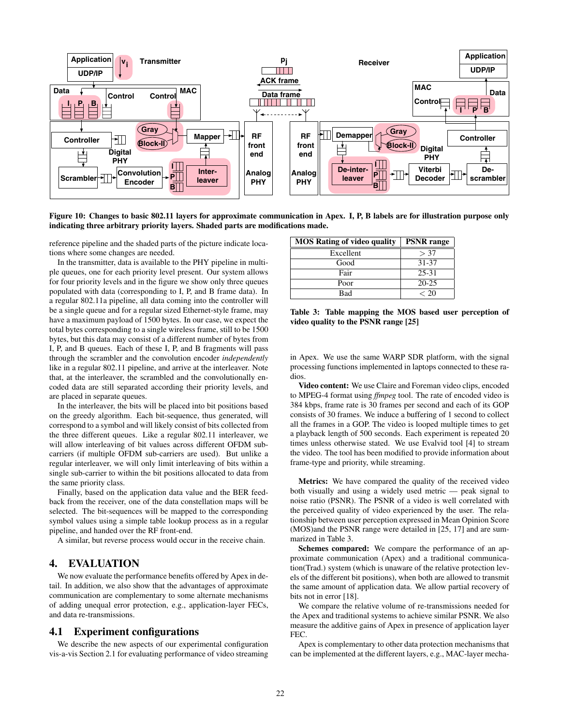

**Figure 10: Changes to basic 802.11 layers for approximate communication in Apex. I, P, B labels are for illustration purpose only indicating three arbitrary priority layers. Shaded parts are modifications made.**

reference pipeline and the shaded parts of the picture indicate locations where some changes are needed.

In the transmitter, data is available to the PHY pipeline in multiple queues, one for each priority level present. Our system allows for four priority levels and in the figure we show only three queues populated with data (corresponding to I, P, and B frame data). In a regular 802.11a pipeline, all data coming into the controller will be a single queue and for a regular sized Ethernet-style frame, may have a maximum payload of 1500 bytes. In our case, we expect the total bytes corresponding to a single wireless frame, still to be 1500 bytes, but this data may consist of a different number of bytes from I, P, and B queues. Each of these I, P, and B fragments will pass through the scrambler and the convolution encoder *independently* like in a regular 802.11 pipeline, and arrive at the interleaver. Note that, at the interleaver, the scrambled and the convolutionally encoded data are still separated according their priority levels, and are placed in separate queues.

In the interleaver, the bits will be placed into bit positions based on the greedy algorithm. Each bit-sequence, thus generated, will correspond to a symbol and will likely consist of bits collected from the three different queues. Like a regular 802.11 interleaver, we will allow interleaving of bit values across different OFDM subcarriers (if multiple OFDM sub-carriers are used). But unlike a regular interleaver, we will only limit interleaving of bits within a single sub-carrier to within the bit positions allocated to data from the same priority class.

Finally, based on the application data value and the BER feedback from the receiver, one of the data constellation maps will be selected. The bit-sequences will be mapped to the corresponding symbol values using a simple table lookup process as in a regular pipeline, and handed over the RF front-end.

A similar, but reverse process would occur in the receive chain.

## **4. EVALUATION**

We now evaluate the performance benefits offered by Apex in detail. In addition, we also show that the advantages of approximate communication are complementary to some alternate mechanisms of adding unequal error protection, e.g., application-layer FECs, and data re-transmissions.

#### **4.1 Experiment configurations**

We describe the new aspects of our experimental configuration vis-a-vis Section 2.1 for evaluating performance of video streaming

| <b>MOS</b> Rating of video quality | <b>PSNR</b> range |
|------------------------------------|-------------------|
| Excellent                          | $>$ 37            |
| Good                               | 31-37             |
| Fair                               | 25-31             |
| Poor                               | $20 - 25$         |
| Bad                                | < 20              |
|                                    |                   |

**Table 3: Table mapping the MOS based user perception of video quality to the PSNR range [25]**

in Apex. We use the same WARP SDR platform, with the signal processing functions implemented in laptops connected to these radios.

**Video content:** We use Claire and Foreman video clips, encoded to MPEG-4 format using *ffmpeg* tool. The rate of encoded video is 384 kbps, frame rate is 30 frames per second and each of its GOP consists of 30 frames. We induce a buffering of 1 second to collect all the frames in a GOP. The video is looped multiple times to get a playback length of 500 seconds. Each experiment is repeated 20 times unless otherwise stated. We use Evalvid tool [4] to stream the video. The tool has been modified to provide information about frame-type and priority, while streaming.

**Metrics:** We have compared the quality of the received video both visually and using a widely used metric — peak signal to noise ratio (PSNR). The PSNR of a video is well correlated with the perceived quality of video experienced by the user. The relationship between user perception expressed in Mean Opinion Score (MOS)and the PSNR range were detailed in [25, 17] and are summarized in Table 3.

**Schemes compared:** We compare the performance of an approximate communication (Apex) and a traditional communication(Trad.) system (which is unaware of the relative protection levels of the different bit positions), when both are allowed to transmit the same amount of application data. We allow partial recovery of bits not in error [18].

We compare the relative volume of re-transmissions needed for the Apex and traditional systems to achieve similar PSNR. We also measure the additive gains of Apex in presence of application layer FEC.

Apex is complementary to other data protection mechanisms that can be implemented at the different layers, e.g., MAC-layer mecha-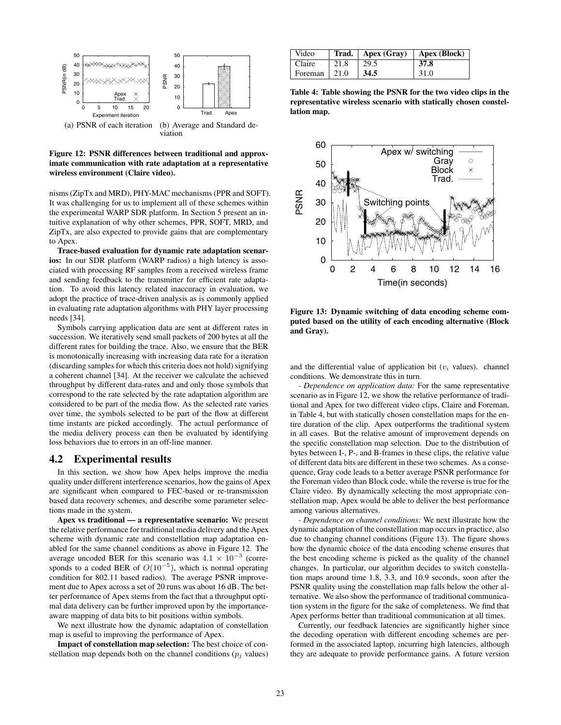

**Figure 12: PSNR differences between traditional and approximate communication with rate adaptation at a representative wireless environment (Claire video).**

nisms (ZipTx and MRD), PHY-MAC mechanisms (PPR and SOFT). It was challenging for us to implement all of these schemes within the experimental WARP SDR platform. In Section 5 present an intuitive explanation of why other schemes, PPR, SOFT, MRD, and ZipTx, are also expected to provide gains that are complementary to Apex.

**Trace-based evaluation for dynamic rate adaptation scenarios:** In our SDR platform (WARP radios) a high latency is associated with processing RF samples from a received wireless frame and sending feedback to the transmitter for efficient rate adaptation. To avoid this latency related inaccuracy in evaluation, we adopt the practice of trace-driven analysis as is commonly applied in evaluating rate adaptation algorithms with PHY layer processing needs [34].

Symbols carrying application data are sent at different rates in succession. We iteratively send small packets of 200 bytes at all the different rates for building the trace. Also, we ensure that the BER is monotonically increasing with increasing data rate for a iteration (discarding samples for which this criteria does not hold) signifying a coherent channel [34]. At the receiver we calculate the achieved throughput by different data-rates and and only those symbols that correspond to the rate selected by the rate adaptation algorithm are considered to be part of the media flow. As the selected rate varies over time, the symbols selected to be part of the flow at different time instants are picked accordingly. The actual performance of the media delivery process can then be evaluated by identifying loss behaviors due to errors in an off-line manner.

#### **4.2 Experimental results**

In this section, we show how Apex helps improve the media quality under different interference scenarios, how the gains of Apex are significant when compared to FEC-based or re-transmission based data recovery schemes, and describe some parameter selections made in the system.

**Apex vs traditional — a representative scenario:** We present the relative performance for traditional media delivery and the Apex scheme with dynamic rate and constellation map adaptation enabled for the same channel conditions as above in Figure 12. The average uncoded BER for this scenario was  $4.1 \times 10^{-3}$  (corresponds to a coded BER of *<sup>O</sup>*(10*<sup>−</sup>*<sup>5</sup>), which is normal operating condition for 802.11 based radios). The average PSNR improvement due to Apex across a set of 20 runs was about 16 dB. The better performance of Apex stems from the fact that a throughput optimal data delivery can be further improved upon by the importanceaware mapping of data bits to bit positions within symbols.

We next illustrate how the dynamic adaptation of constellation map is useful to improving the performance of Apex.

**Impact of constellation map selection:** The best choice of constellation map depends both on the channel conditions  $(p_j \text{ values})$ 

| Video         |       |      | Trad.   Apex (Gray)   Apex (Block) |
|---------------|-------|------|------------------------------------|
| $\mid$ Claire | 21.8  | 29.5 | 37.8                               |
| Foreman       | 121.0 | 34.5 | 31.0                               |

**Table 4: Table showing the PSNR for the two video clips in the representative wireless scenario with statically chosen constellation map.**



**Figure 13: Dynamic switching of data encoding scheme computed based on the utility of each encoding alternative (Block and Gray).**

and the differential value of application bit  $(v_i$  values). channel conditions. We demonstrate this in turn.

*- Dependence on application data:* For the same representative scenario as in Figure 12, we show the relative performance of traditional and Apex for two different video clips, Claire and Foreman, in Table 4, but with statically chosen constellation maps for the entire duration of the clip. Apex outperforms the traditional system in all cases. But the relative amount of improvement depends on the specific constellation map selection. Due to the distribution of bytes between I-, P-, and B-frames in these clips, the relative value of different data bits are different in these two schemes. As a consequence, Gray code leads to a better average PSNR performance for the Foreman video than Block code, while the reverse is true for the Claire video. By dynamically selecting the most appropriate constellation map, Apex would be able to deliver the best performance among various alternatives.

*- Dependence on channel conditions:* We next illustrate how the dynamic adaptation of the constellation map occurs in practice, also due to changing channel conditions (Figure 13). The figure shows how the dynamic choice of the data encoding scheme ensures that the best encoding scheme is picked as the quality of the channel changes. In particular, our algorithm decides to switch constellation maps around time 1.8, 3.3, and 10.9 seconds, soon after the PSNR quality using the constellation map falls below the other alternative. We also show the performance of traditional communication system in the figure for the sake of completeness. We find that Apex performs better than traditional communication at all times.

Currently, our feedback latencies are significantly higher since the decoding operation with different encoding schemes are performed in the associated laptop, incurring high latencies, although they are adequate to provide performance gains. A future version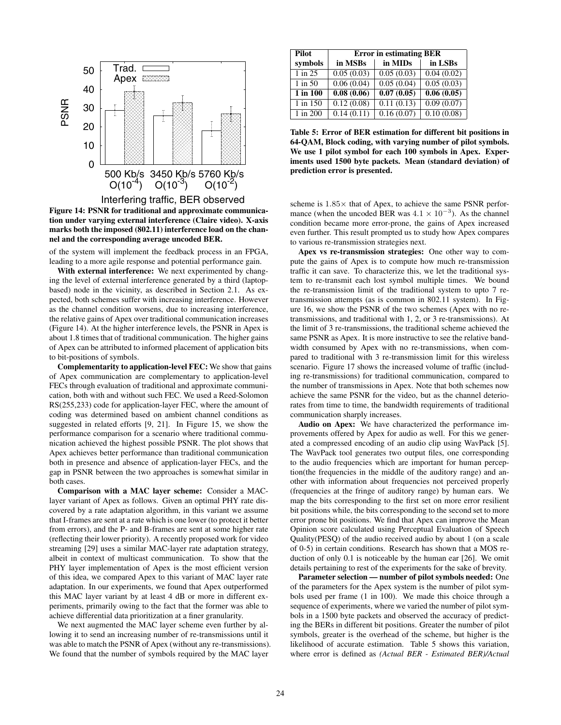

**Figure 14: PSNR for traditional and approximate communication under varying external interference (Claire video). X-axis marks both the imposed (802.11) interference load on the channel and the corresponding average uncoded BER.**

of the system will implement the feedback process in an FPGA, leading to a more agile response and potential performance gain.

**With external interference:** We next experimented by changing the level of external interference generated by a third (laptopbased) node in the vicinity, as described in Section 2.1. As expected, both schemes suffer with increasing interference. However as the channel condition worsens, due to increasing interference, the relative gains of Apex over traditional communication increases (Figure 14). At the higher interference levels, the PSNR in Apex is about 1.8 times that of traditional communication. The higher gains of Apex can be attributed to informed placement of application bits to bit-positions of symbols.

**Complementarity to application-level FEC:** We show that gains of Apex communication are complementary to application-level FECs through evaluation of traditional and approximate communication, both with and without such FEC. We used a Reed-Solomon RS(255,233) code for application-layer FEC, where the amount of coding was determined based on ambient channel conditions as suggested in related efforts [9, 21]. In Figure 15, we show the performance comparison for a scenario where traditional communication achieved the highest possible PSNR. The plot shows that Apex achieves better performance than traditional communication both in presence and absence of application-layer FECs, and the gap in PSNR between the two approaches is somewhat similar in both cases.

**Comparison with a MAC layer scheme:** Consider a MAClayer variant of Apex as follows. Given an optimal PHY rate discovered by a rate adaptation algorithm, in this variant we assume that I-frames are sent at a rate which is one lower (to protect it better from errors), and the P- and B-frames are sent at some higher rate (reflecting their lower priority). A recently proposed work for video streaming [29] uses a similar MAC-layer rate adaptation strategy, albeit in context of multicast communication. To show that the PHY layer implementation of Apex is the most efficient version of this idea, we compared Apex to this variant of MAC layer rate adaptation. In our experiments, we found that Apex outperformed this MAC layer variant by at least 4 dB or more in different experiments, primarily owing to the fact that the former was able to achieve differential data prioritization at a finer granularity.

We next augmented the MAC layer scheme even further by allowing it to send an increasing number of re-transmissions until it was able to match the PSNR of Apex (without any re-transmissions). We found that the number of symbols required by the MAC layer

| Pilot        | <b>Error in estimating BER</b> |            |            |  |
|--------------|--------------------------------|------------|------------|--|
| symbols      | in MSBs                        | in MIDs    | in LSBs    |  |
| $1$ in $25$  | 0.05(0.03)                     | 0.05(0.03) | 0.04(0.02) |  |
| $1$ in 50    | 0.06(0.04)                     | 0.05(0.04) | 0.05(0.03) |  |
| 1 in 100     | 0.08(0.06)                     | 0.07(0.05) | 0.06(0.05) |  |
| 1 in 150     | 0.12(0.08)                     | 0.11(0.13) | 0.09(0.07) |  |
| $1$ in $200$ | 0.14(0.11)                     | 0.16(0.07) | 0.10(0.08) |  |

**Table 5: Error of BER estimation for different bit positions in 64-QAM, Block coding, with varying number of pilot symbols. We use 1 pilot symbol for each 100 symbols in Apex. Experiments used 1500 byte packets. Mean (standard deviation) of prediction error is presented.**

scheme is 1*.*85*<sup>×</sup>* that of Apex, to achieve the same PSNR performance (when the uncoded BER was  $4.1 \times 10^{-3}$ ). As the channel condition became more error-prone, the gains of Apex increased even further. This result prompted us to study how Apex compares to various re-transmission strategies next.

**Apex vs re-transmission strategies:** One other way to compute the gains of Apex is to compute how much re-transmission traffic it can save. To characterize this, we let the traditional system to re-transmit each lost symbol multiple times. We bound the re-transmission limit of the traditional system to upto 7 retransmission attempts (as is common in 802.11 system). In Figure 16, we show the PSNR of the two schemes (Apex with no retransmissions, and traditional with 1, 2, or 3 re-transmissions). At the limit of 3 re-transmissions, the traditional scheme achieved the same PSNR as Apex. It is more instructive to see the relative bandwidth consumed by Apex with no re-transmissions, when compared to traditional with 3 re-transmission limit for this wireless scenario. Figure 17 shows the increased volume of traffic (including re-transmissions) for traditional communication, compared to the number of transmissions in Apex. Note that both schemes now achieve the same PSNR for the video, but as the channel deteriorates from time to time, the bandwidth requirements of traditional communication sharply increases.

**Audio on Apex:** We have characterized the performance improvements offered by Apex for audio as well. For this we generated a compressed encoding of an audio clip using WavPack [5]. The WavPack tool generates two output files, one corresponding to the audio frequencies which are important for human perception(the frequencies in the middle of the auditory range) and another with information about frequencies not perceived properly (frequencies at the fringe of auditory range) by human ears. We map the bits corresponding to the first set on more error resilient bit positions while, the bits corresponding to the second set to more error prone bit positions. We find that Apex can improve the Mean Opinion score calculated using Perceptual Evaluation of Speech Quality(PESQ) of the audio received audio by about 1 (on a scale of 0-5) in certain conditions. Research has shown that a MOS reduction of only 0.1 is noticeable by the human ear [26]. We omit details pertaining to rest of the experiments for the sake of brevity.

**Parameter selection — number of pilot symbols needed:** One of the parameters for the Apex system is the number of pilot symbols used per frame (1 in 100). We made this choice through a sequence of experiments, where we varied the number of pilot symbols in a 1500 byte packets and observed the accuracy of predicting the BERs in different bit positions. Greater the number of pilot symbols, greater is the overhead of the scheme, but higher is the likelihood of accurate estimation. Table 5 shows this variation, where error is defined as *(Actual BER - Estimated BER)/Actual*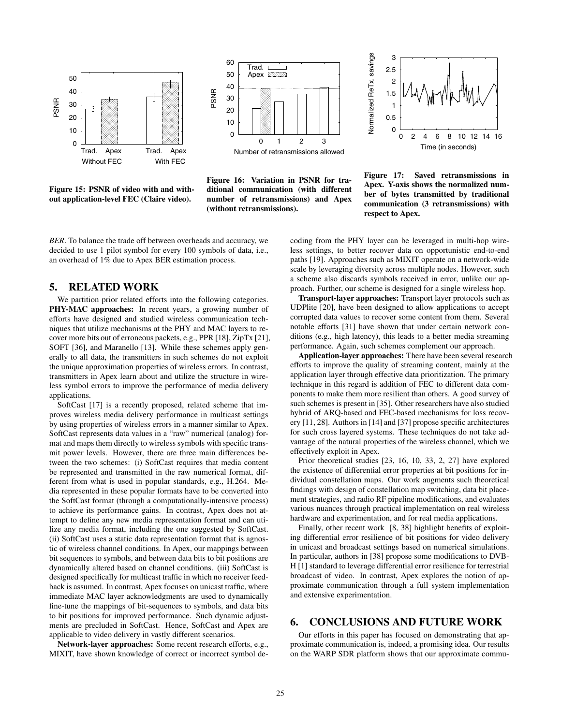

**Figure 15: PSNR of video with and without application-level FEC (Claire video).**



**Figure 16: Variation in PSNR for traditional communication (with different number of retransmissions) and Apex (without retransmissions).**



**Figure 17: Saved retransmissions in Apex. Y-axis shows the normalized number of bytes transmitted by traditional communication (3 retransmissions) with respect to Apex.**

*BER*. To balance the trade off between overheads and accuracy, we decided to use 1 pilot symbol for every 100 symbols of data, i.e., an overhead of 1% due to Apex BER estimation process.

## **5. RELATED WORK**

We partition prior related efforts into the following categories. **PHY-MAC approaches:** In recent years, a growing number of efforts have designed and studied wireless communication techniques that utilize mechanisms at the PHY and MAC layers to recover more bits out of erroneous packets, e.g., PPR [18], ZipTx [21], SOFT [36], and Maranello [13]. While these schemes apply generally to all data, the transmitters in such schemes do not exploit the unique approximation properties of wireless errors. In contrast, transmitters in Apex learn about and utilize the structure in wireless symbol errors to improve the performance of media delivery applications.

SoftCast [17] is a recently proposed, related scheme that improves wireless media delivery performance in multicast settings by using properties of wireless errors in a manner similar to Apex. SoftCast represents data values in a "raw" numerical (analog) format and maps them directly to wireless symbols with specific transmit power levels. However, there are three main differences between the two schemes: (i) SoftCast requires that media content be represented and transmitted in the raw numerical format, different from what is used in popular standards, e.g., H.264. Media represented in these popular formats have to be converted into the SoftCast format (through a computationally-intensive process) to achieve its performance gains. In contrast, Apex does not attempt to define any new media representation format and can utilize any media format, including the one suggested by SoftCast. (ii) SoftCast uses a static data representation format that is agnostic of wireless channel conditions. In Apex, our mappings between bit sequences to symbols, and between data bits to bit positions are dynamically altered based on channel conditions. (iii) SoftCast is designed specifically for multicast traffic in which no receiver feedback is assumed. In contrast, Apex focuses on unicast traffic, where immediate MAC layer acknowledgments are used to dynamically fine-tune the mappings of bit-sequences to symbols, and data bits to bit positions for improved performance. Such dynamic adjustments are precluded in SoftCast. Hence, SoftCast and Apex are applicable to video delivery in vastly different scenarios.

**Network-layer approaches:** Some recent research efforts, e.g., MIXIT, have shown knowledge of correct or incorrect symbol decoding from the PHY layer can be leveraged in multi-hop wireless settings, to better recover data on opportunistic end-to-end paths [19]. Approaches such as MIXIT operate on a network-wide scale by leveraging diversity across multiple nodes. However, such a scheme also discards symbols received in error, unlike our approach. Further, our scheme is designed for a single wireless hop.

**Transport-layer approaches:** Transport layer protocols such as UDPlite [20], have been designed to allow applications to accept corrupted data values to recover some content from them. Several notable efforts [31] have shown that under certain network conditions (e.g., high latency), this leads to a better media streaming performance. Again, such schemes complement our approach.

**Application-layer approaches:** There have been several research efforts to improve the quality of streaming content, mainly at the application layer through effective data prioritization. The primary technique in this regard is addition of FEC to different data components to make them more resilient than others. A good survey of such schemes is present in [35]. Other researchers have also studied hybrid of ARQ-based and FEC-based mechanisms for loss recovery [11, 28]. Authors in [14] and [37] propose specific architectures for such cross layered systems. These techniques do not take advantage of the natural properties of the wireless channel, which we effectively exploit in Apex.

Prior theoretical studies [23, 16, 10, 33, 2, 27] have explored the existence of differential error properties at bit positions for individual constellation maps. Our work augments such theoretical findings with design of constellation map switching, data bit placement strategies, and radio RF pipeline modifications, and evaluates various nuances through practical implementation on real wireless hardware and experimentation, and for real media applications.

Finally, other recent work [8, 38] highlight benefits of exploiting differential error resilience of bit positions for video delivery in unicast and broadcast settings based on numerical simulations. In particular, authors in [38] propose some modifications to DVB-H [1] standard to leverage differential error resilience for terrestrial broadcast of video. In contrast, Apex explores the notion of approximate communication through a full system implementation and extensive experimentation.

## **6. CONCLUSIONS AND FUTURE WORK**

Our efforts in this paper has focused on demonstrating that approximate communication is, indeed, a promising idea. Our results on the WARP SDR platform shows that our approximate commu